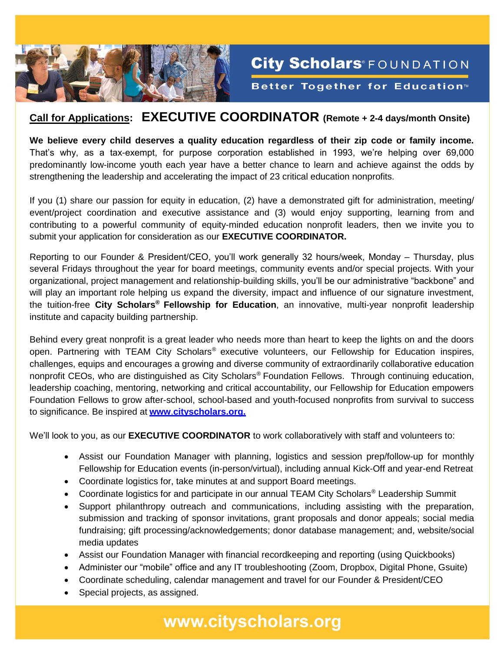

## **Call for Applications: EXECUTIVE COORDINATOR (Remote + 2-4 days/month Onsite)**

**City Scholars**®FOUNDATION

Better Together for Education<sup>™</sup>

**We believe every child deserves a quality education regardless of their zip code or family income.** That's why, as a tax-exempt, for purpose corporation established in 1993, we're helping over 69,000 predominantly low-income youth each year have a better chance to learn and achieve against the odds by strengthening the leadership and accelerating the impact of 23 critical education nonprofits.

If you (1) share our passion for equity in education, (2) have a demonstrated gift for administration, meeting/ event/project coordination and executive assistance and (3) would enjoy supporting, learning from and contributing to a powerful community of equity-minded education nonprofit leaders, then we invite you to submit your application for consideration as our **EXECUTIVE COORDINATOR.** 

Reporting to our Founder & President/CEO, you'll work generally 32 hours/week, Monday – Thursday, plus several Fridays throughout the year for board meetings, community events and/or special projects. With your organizational, project management and relationship-building skills, you'll be our administrative "backbone" and will play an important role helping us expand the diversity, impact and influence of our signature investment, the tuition-free **City Scholars® Fellowship for Education**, an innovative, multi-year nonprofit leadership institute and capacity building partnership.

Behind every great nonprofit is a great leader who needs more than heart to keep the lights on and the doors open. Partnering with TEAM City Scholars® executive volunteers, our Fellowship for Education inspires, challenges, equips and encourages a growing and diverse community of extraordinarily collaborative education nonprofit CEOs, who are distinguished as City Scholars<sup>®</sup> Foundation Fellows. Through continuing education, leadership coaching, mentoring, networking and critical accountability, our Fellowship for Education empowers Foundation Fellows to grow after-school, school-based and youth-focused nonprofits from survival to success to significance. Be inspired at **www**.**[cityscholars.org.](http://www.cityscholars.org/)**

We'll look to you, as our **EXECUTIVE COORDINATOR** to work collaboratively with staff and volunteers to:

- Assist our Foundation Manager with planning, logistics and session prep/follow-up for monthly Fellowship for Education events (in-person/virtual), including annual Kick-Off and year-end Retreat
- Coordinate logistics for, take minutes at and support Board meetings.
- Coordinate logistics for and participate in our annual TEAM City Scholars® Leadership Summit
- Support philanthropy outreach and communications, including assisting with the preparation, submission and tracking of sponsor invitations, grant proposals and donor appeals; social media fundraising; gift processing/acknowledgements; donor database management; and, website/social media updates
- Assist our Foundation Manager with financial recordkeeping and reporting (using Quickbooks)
- Administer our "mobile" office and any IT troubleshooting (Zoom, Dropbox, Digital Phone, Gsuite)
- Coordinate scheduling, calendar management and travel for our Founder & President/CEO
- Special projects, as assigned.

www.cityscholars.org